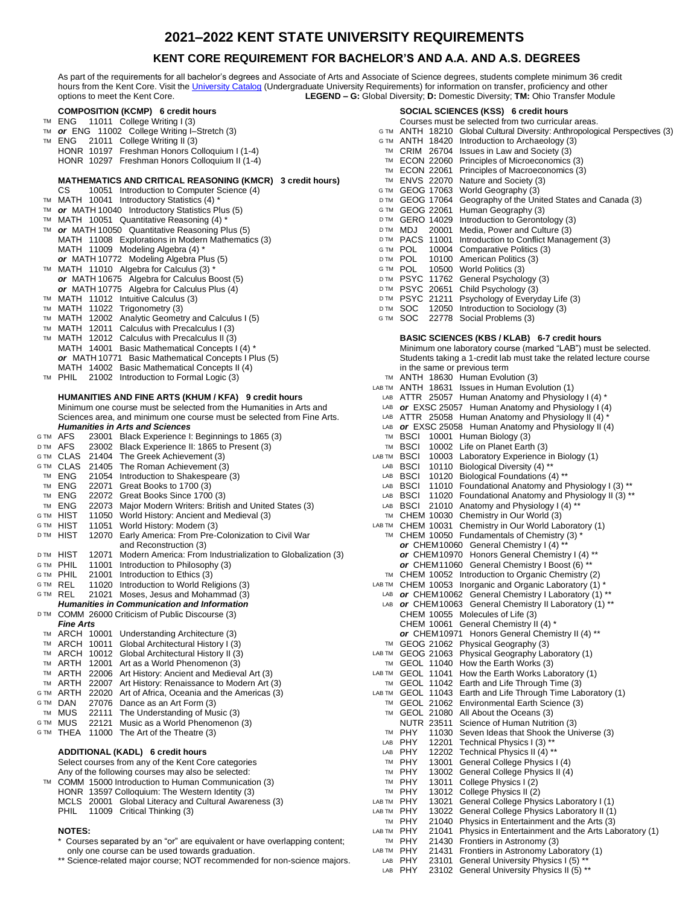## **2021–2022 KENT STATE UNIVERSITY REQUIREMENTS**

### **KENT CORE REQUIREMENT FOR BACHELOR'S AND A.A. AND A.S. DEGREES**

As part of the requirements for all bachelor's degrees and Associate of Arts and Associate of Science degrees, students complete minimum 36 credit hours from the Kent Core. Visit the [University Catalog](http://catalog.kent.edu/) (Undergraduate University Requirements) for information on transfer, proficiency and other options to meet the Kent Core. **LEGEND – G:** Global Diversity; **D:** Domestic Diversity; **TM:** Ohio Transfer Module **COMPOSITION (KCMP) 6** credit hours<br> **COMPOSITION (KCMP) 6** credit hours<br>
Courses must be selected from the outrieral TM ENG 11011 College Writing I (3) TM Courses must be selected from two curricular areas. pological Perspectives (3)

|      | $E[1011 \ttext{ College}$ villing $1(3)$                               |            | Courses must be selected from two curricular areas.                    |
|------|------------------------------------------------------------------------|------------|------------------------------------------------------------------------|
| TM   | or ENG 11002 College Writing I-Stretch (3)                             |            | G TM ANTH 18210 Global Cultural Diversity: Anthropological Perspective |
| TM   | ENG 21011 College Writing II (3)                                       | G TM       | ANTH 18420 Introduction to Archaeology (3)                             |
|      | HONR 10197 Freshman Honors Colloquium I (1-4)                          |            | TM CRIM 26704 Issues in Law and Society (3)                            |
|      | HONR 10297 Freshman Honors Colloquium II (1-4)                         | TM         | ECON 22060 Principles of Microeconomics (3)                            |
|      |                                                                        | TM         | ECON 22061 Principles of Macroeconomics (3)                            |
|      |                                                                        |            |                                                                        |
|      | MATHEMATICS AND CRITICAL REASONING (KMCR) 3 credit hours)              |            | TM ENVS 22070 Nature and Society (3)                                   |
|      | 10051 Introduction to Computer Science (4)<br>СS                       |            | GTM GEOG 17063 World Geography (3)                                     |
|      | TM MATH 10041 Introductory Statistics (4) *                            |            | DTM GEOG 17064 Geography of the United States and Canada (3)           |
|      |                                                                        |            |                                                                        |
| TM   | or MATH 10040 Introductory Statistics Plus (5)                         |            | GTM GEOG 22061 Human Geography (3)                                     |
| TM   | MATH 10051 Quantitative Reasoning (4)                                  | D TM       | GERO 14029 Introduction to Gerontology (3)                             |
| TM   | or MATH 10050 Quantitative Reasoning Plus (5)                          | D TM       | 20001 Media, Power and Culture (3)<br>MDJ                              |
|      | MATH 11008 Explorations in Modern Mathematics (3)                      |            | D TM PACS 11001 Introduction to Conflict Management (3)                |
|      |                                                                        |            |                                                                        |
|      | MATH 11009 Modeling Algebra (4) *                                      |            | GTM POL<br>10004 Comparative Politics (3)                              |
|      | or MATH 10772 Modeling Algebra Plus (5)                                | D TM       | POL<br>10100 American Politics (3)                                     |
|      | TM MATH 11010 Algebra for Calculus (3) *                               |            | G TM POL<br>10500 World Politics (3)                                   |
|      | or MATH 10675 Algebra for Calculus Boost (5)                           |            | DTM PSYC 11762 General Psychology (3)                                  |
|      |                                                                        |            |                                                                        |
|      | or MATH 10775 Algebra for Calculus Plus (4)                            |            | DTM PSYC 20651 Child Psychology (3)                                    |
| TM   | MATH 11012 Intuitive Calculus (3)                                      | D TM       | PSYC 21211 Psychology of Everyday Life (3)                             |
| TM   | MATH 11022 Trigonometry (3)                                            |            | DTM SOC<br>12050 Introduction to Sociology (3)                         |
| TM   | MATH 12002 Analytic Geometry and Calculus I (5)                        |            | GTM SOC<br>22778 Social Problems (3)                                   |
|      |                                                                        |            |                                                                        |
| TM   | MATH 12011 Calculus with Precalculus I (3)                             |            |                                                                        |
| TM   | MATH 12012 Calculus with Precalculus II (3)                            |            | BASIC SCIENCES (KBS / KLAB) 6-7 credit hours                           |
|      | MATH 14001 Basic Mathematical Concepts I (4) *                         |            | Minimum one laboratory course (marked "LAB") must be selected.         |
|      | or MATH 10771 Basic Mathematical Concepts I Plus (5)                   |            | Students taking a 1-credit lab must take the related lecture course    |
|      |                                                                        |            |                                                                        |
|      | MATH 14002 Basic Mathematical Concepts II (4)                          |            | in the same or previous term                                           |
| TM   | PHIL 21002 Introduction to Formal Logic (3)                            |            | TM ANTH 18630 Human Evolution (3)                                      |
|      |                                                                        |            | LAB TM ANTH 18631 Issues in Human Evolution (1)                        |
|      | HUMANITIES AND FINE ARTS (KHUM / KFA) 9 credit hours                   |            | LAB ATTR 25057 Human Anatomy and Physiology I (4) $*$                  |
|      |                                                                        |            |                                                                        |
|      | Minimum one course must be selected from the Humanities in Arts and    | LAB        | <b>or</b> EXSC 25057 Human Anatomy and Physiology I (4)                |
|      | Sciences area, and minimum one course must be selected from Fine Arts. | LAB        | ATTR 25058 Human Anatomy and Physiology II (4) *                       |
|      | <b>Humanities in Arts and Sciences</b>                                 | LAB        | or EXSC 25058 Human Anatomy and Physiology II (4)                      |
|      | GTM AFS<br>23001 Black Experience I: Beginnings to 1865 (3)            | TM         | BSCI 10001 Human Biology (3)                                           |
|      |                                                                        |            |                                                                        |
| D TM | AFS<br>23002 Black Experience II: 1865 to Present (3)                  |            | TM BSCI 10002 Life on Planet Earth (3)                                 |
| G TM | CLAS 21404 The Greek Achievement (3)                                   |            | LAB TM BSCI 10003 Laboratory Experience in Biology (1)                 |
|      | GIM CLAS<br>21405 The Roman Achievement (3)                            | LAB        | BSCI 10110 Biological Diversity (4) **                                 |
| TM   | ENG                                                                    | LAB        | BSCI 10120 Biological Foundations (4) **                               |
|      | 21054 Introduction to Shakespeare (3)                                  |            |                                                                        |
| TM   | ENG<br>22071 Great Books to 1700 (3)                                   | LAB        | BSCI 11010 Foundational Anatomy and Physiology I (3) **                |
| TM   | ENG<br>22072 Great Books Since 1700 (3)                                | LAB        | BSCI 11020 Foundational Anatomy and Physiology II (3) **               |
| TM   | ENG<br>22073 Major Modern Writers: British and United States (3)       | LAB        | BSCI 21010 Anatomy and Physiology I (4) **                             |
|      | GTM HIST<br>11050 World History: Ancient and Medieval (3)              |            | TM CHEM 10030 Chemistry in Our World (3)                               |
|      |                                                                        |            |                                                                        |
|      | GTM HIST<br>11051 World History: Modern (3)                            |            | LAB TM CHEM 10031 Chemistry in Our World Laboratory (1)                |
| D TM | 12070 Early America: From Pre-Colonization to Civil War<br>HIST        |            | TM CHEM 10050 Fundamentals of Chemistry (3) *                          |
|      | and Reconstruction (3)                                                 |            | or CHEM10060 General Chemistry I (4) **                                |
|      | DTM HIST                                                               |            | or CHEM10970 Honors General Chemistry I (4) **                         |
|      | 12071 Modern America: From Industrialization to Globalization (3)      |            |                                                                        |
|      | GTM PHIL<br>11001 Introduction to Philosophy (3)                       |            | or CHEM11060 General Chemistry I Boost (6) **                          |
|      | GTM PHIL<br>21001 Introduction to Ethics (3)                           |            | TM CHEM 10052 Introduction to Organic Chemistry (2)                    |
|      | GTM REL<br>11020 Introduction to World Religions (3)                   |            | LAB TM CHEM 10053 Inorganic and Organic Laboratory (1) *               |
|      | GTM REL<br>21021 Moses, Jesus and Mohammad (3)                         |            |                                                                        |
|      |                                                                        |            | LAB or CHEM10062 General Chemistry I Laboratory (1) **                 |
|      | <b>Humanities in Communication and Information</b>                     |            | LAB or CHEM10063 General Chemistry II Laboratory (1) **                |
|      | DTM COMM 26000 Criticism of Public Discourse (3)                       |            | CHEM 10055 Molecules of Life (3)                                       |
|      | <b>Fine Arts</b>                                                       |            | CHEM 10061 General Chemistry II (4) *                                  |
|      |                                                                        |            | or CHEM10971 Honors General Chemistry II (4) **                        |
|      | TM ARCH 10001 Understanding Architecture (3)                           |            |                                                                        |
| TM   | ARCH 10011 Global Architectural History I (3)                          |            | TM GEOG 21062 Physical Geography (3)                                   |
| TM   | ARCH 10012 Global Architectural History II (3)                         |            | LAB TM GEOG 21063 Physical Geography Laboratory (1)                    |
| TM   | ARTH 12001 Art as a World Phenomenon (3)                               |            | TM GEOL 11040 How the Earth Works (3)                                  |
|      |                                                                        |            |                                                                        |
| TM   | ARTH 22006 Art History: Ancient and Medieval Art (3)                   |            | LAB TM GEOL 11041 How the Earth Works Laboratory $(1)$                 |
| TM   | ARTH 22007 Art History: Renaissance to Modern Art (3)                  |            | TM GEOL 11042 Earth and Life Through Time (3)                          |
| G TM | ARTH 22020 Art of Africa, Oceania and the Americas (3)                 |            | LAB TM GEOL 11043 Earth and Life Through Time Laboratory (1)           |
| G TM | DAN<br>27076 Dance as an Art Form (3)                                  |            | TM GEOL 21062 Environmental Earth Science (3)                          |
|      |                                                                        |            |                                                                        |
| TM   | MUS<br>22111 The Understanding of Music (3)                            |            | TM GEOL 21080 All About the Oceans (3)                                 |
| G TM | 22121 Music as a World Phenomenon (3)<br>MUS                           |            | NUTR 23511 Science of Human Nutrition (3)                              |
|      | G TM THEA 11000 The Art of the Theatre (3)                             | TM         | PHY<br>11030 Seven Ideas that Shook the Universe (3)                   |
|      |                                                                        | LAB        | PHY<br>12201 Technical Physics I (3) **                                |
|      |                                                                        |            |                                                                        |
|      | ADDITIONAL (KADL) 6 credit hours                                       | LAB        | PHY<br>12202 Technical Physics II (4) **                               |
|      | Select courses from any of the Kent Core categories                    | TM         | PHY<br>13001 General College Physics I (4)                             |
|      | Any of the following courses may also be selected:                     | TM         | <b>PHY</b><br>13002 General College Physics II (4)                     |
| TM   | COMM 15000 Introduction to Human Communication (3)                     | TM         | PHY<br>13011 College Physics I (2)                                     |
|      |                                                                        |            |                                                                        |
|      | HONR 13597 Colloquium: The Western Identity (3)                        | TM         | PHY<br>13012 College Physics II (2)                                    |
|      | MCLS 20001 Global Literacy and Cultural Awareness (3)                  | LAB TM PHY | 13021 General College Physics Laboratory I (1)                         |
|      | 11009 Critical Thinking (3)<br><b>PHIL</b>                             | LAB TM PHY | 13022 General College Physics Laboratory II (1)                        |
|      |                                                                        |            | $TM$ PHY 21040 Physics in Entertainment and the Arts $(3)$             |
|      |                                                                        |            |                                                                        |

#### **NOTES:**

Courses separated by an "or" are equivalent or have overlapping content; only one course can be used towards graduation.

\*\* Science-related major course; NOT recommended for non-science majors.

B TM PHY 21431 Frontiers in Astronomy Laboratory (1)<br>LAB PHY 23101 General University Physics I (5) \*\* 23101 General University Physics I (5) \*\* LAB PHY 23102 General University Physics II (5) \*\*

TM PHY 21430 Frontiers in Astronomy (3)<br>LABTM PHY 21431 Frontiers in Astronomy Lab

TM PHY 21040 Physics in Entertainment and the Arts  $(3)$ <br>LAB TM PHY 21041 Physics in Entertainment and the Arts Lab

B TM PHY 21041 Physics in Entertainment and the Arts Laboratory (1)<br>TM PHY 21430 Frontiers in Astronomy (3)